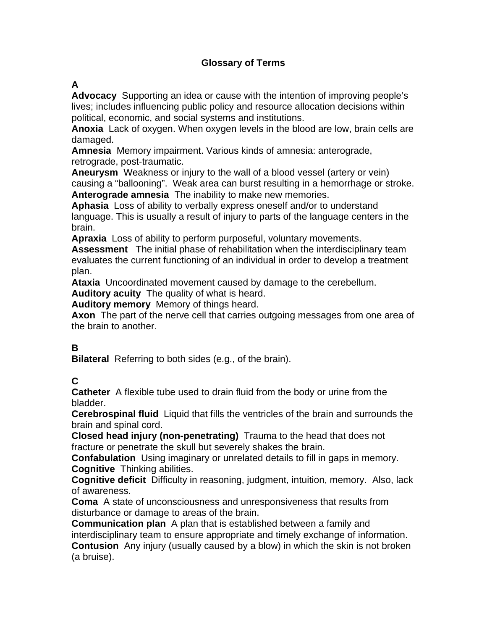# **Glossary of Terms**

#### **A**

**Advocacy** Supporting an idea or cause with the intention of improving people's lives; includes influencing public policy and resource allocation decisions within political, economic, and social systems and institutions.

**Anoxia** Lack of oxygen. When oxygen levels in the blood are low, brain cells are damaged.

**Amnesia** Memory impairment. Various kinds of amnesia: anterograde, retrograde, post-traumatic.

**Aneurysm** Weakness or injury to the wall of a blood vessel (artery or vein) causing a "ballooning". Weak area can burst resulting in a hemorrhage or stroke. **Anterograde amnesia** The inability to make new memories.

**Aphasia** Loss of ability to verbally express oneself and/or to understand language. This is usually a result of injury to parts of the language centers in the brain.

**Apraxia** Loss of ability to perform purposeful, voluntary movements.

**Assessment** The initial phase of rehabilitation when the interdisciplinary team evaluates the current functioning of an individual in order to develop a treatment plan.

**Ataxia** Uncoordinated movement caused by damage to the cerebellum.

**Auditory acuity** The quality of what is heard.

**Auditory memory** Memory of things heard.

**Axon** The part of the nerve cell that carries outgoing messages from one area of the brain to another.

# **B**

**Bilateral** Referring to both sides (e.g., of the brain).

# **C**

**Catheter** A flexible tube used to drain fluid from the body or urine from the bladder.

**Cerebrospinal fluid** Liquid that fills the ventricles of the brain and surrounds the brain and spinal cord.

**Closed head injury (non-penetrating)** Trauma to the head that does not fracture or penetrate the skull but severely shakes the brain.

**Confabulation** Using imaginary or unrelated details to fill in gaps in memory. **Cognitive** Thinking abilities.

**Cognitive deficit** Difficulty in reasoning, judgment, intuition, memory. Also, lack of awareness.

**Coma** A state of unconsciousness and unresponsiveness that results from disturbance or damage to areas of the brain.

**Communication plan** A plan that is established between a family and interdisciplinary team to ensure appropriate and timely exchange of information. **Contusion** Any injury (usually caused by a blow) in which the skin is not broken (a bruise).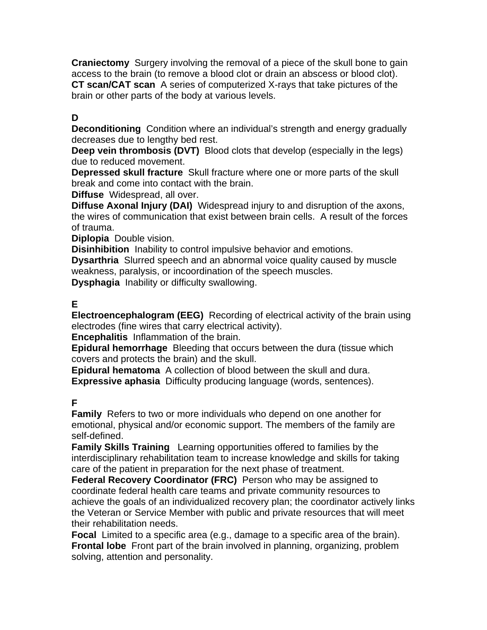**Craniectomy** Surgery involving the removal of a piece of the skull bone to gain access to the brain (to remove a blood clot or drain an abscess or blood clot). **CT scan/CAT scan** A series of computerized X-rays that take pictures of the brain or other parts of the body at various levels.

# **D**

**Deconditioning** Condition where an individual's strength and energy gradually decreases due to lengthy bed rest.

**Deep vein thrombosis (DVT)** Blood clots that develop (especially in the legs) due to reduced movement.

**Depressed skull fracture** Skull fracture where one or more parts of the skull break and come into contact with the brain.

**Diffuse** Widespread, all over.

**Diffuse Axonal Injury (DAI)** Widespread injury to and disruption of the axons, the wires of communication that exist between brain cells. A result of the forces of trauma.

**Diplopia** Double vision.

**Disinhibition** Inability to control impulsive behavior and emotions.

**Dysarthria** Slurred speech and an abnormal voice quality caused by muscle weakness, paralysis, or incoordination of the speech muscles.

**Dysphagia** Inability or difficulty swallowing.

# **E**

**Electroencephalogram (EEG)** Recording of electrical activity of the brain using electrodes (fine wires that carry electrical activity).

**Encephalitis** Inflammation of the brain.

**Epidural hemorrhage** Bleeding that occurs between the dura (tissue which covers and protects the brain) and the skull.

**Epidural hematoma** A collection of blood between the skull and dura. **Expressive aphasia** Difficulty producing language (words, sentences).

# **F**

**Family** Refers to two or more individuals who depend on one another for emotional, physical and/or economic support. The members of the family are self-defined.

**Family Skills Training** Learning opportunities offered to families by the interdisciplinary rehabilitation team to increase knowledge and skills for taking care of the patient in preparation for the next phase of treatment.

**Federal Recovery Coordinator (FRC)** Person who may be assigned to coordinate federal health care teams and private community resources to achieve the goals of an individualized recovery plan; the coordinator actively links the Veteran or Service Member with public and private resources that will meet their rehabilitation needs.

**Focal** Limited to a specific area (e.g., damage to a specific area of the brain). **Frontal lobe** Front part of the brain involved in planning, organizing, problem solving, attention and personality.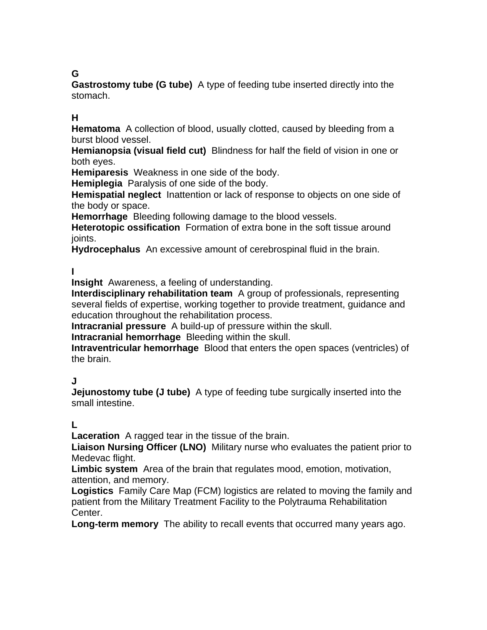# **G**

**Gastrostomy tube (G tube)** A type of feeding tube inserted directly into the stomach.

#### **H**

**Hematoma** A collection of blood, usually clotted, caused by bleeding from a burst blood vessel.

**Hemianopsia (visual field cut)** Blindness for half the field of vision in one or both eyes.

**Hemiparesis** Weakness in one side of the body.

**Hemiplegia** Paralysis of one side of the body.

**Hemispatial neglect** Inattention or lack of response to objects on one side of the body or space.

**Hemorrhage** Bleeding following damage to the blood vessels.

**Heterotopic ossification** Formation of extra bone in the soft tissue around joints.

**Hydrocephalus** An excessive amount of cerebrospinal fluid in the brain.

#### **I**

**Insight** Awareness, a feeling of understanding.

**Interdisciplinary rehabilitation team** A group of professionals, representing several fields of expertise, working together to provide treatment, guidance and education throughout the rehabilitation process.

**Intracranial pressure** A build-up of pressure within the skull.

**Intracranial hemorrhage** Bleeding within the skull.

**Intraventricular hemorrhage** Blood that enters the open spaces (ventricles) of the brain.

#### **J**

**Jejunostomy tube (J tube)** A type of feeding tube surgically inserted into the small intestine.

#### **L**

**Laceration** A ragged tear in the tissue of the brain.

**Liaison Nursing Officer (LNO)** Military nurse who evaluates the patient prior to Medevac flight.

**Limbic system** Area of the brain that regulates mood, emotion, motivation, attention, and memory.

**Logistics** Family Care Map (FCM) logistics are related to moving the family and patient from the Military Treatment Facility to the Polytrauma Rehabilitation Center.

**Long-term memory** The ability to recall events that occurred many years ago.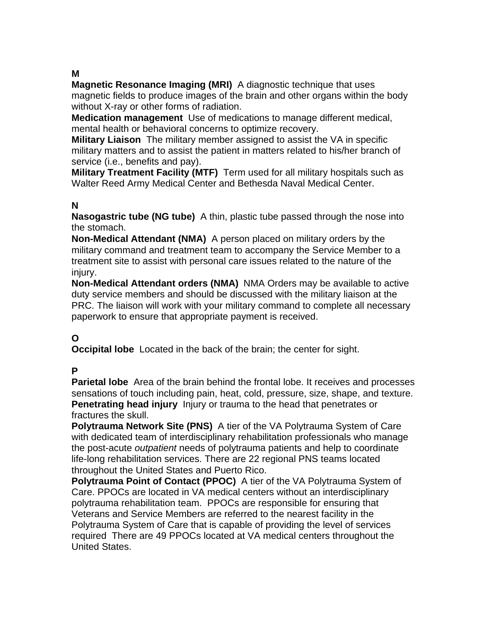#### **M**

**Magnetic Resonance Imaging (MRI)** A diagnostic technique that uses magnetic fields to produce images of the brain and other organs within the body without X-ray or other forms of radiation.

**Medication management** Use of medications to manage different medical, mental health or behavioral concerns to optimize recovery.

**Military Liaison** The military member assigned to assist the VA in specific military matters and to assist the patient in matters related to his/her branch of service (i.e., benefits and pay).

**Military Treatment Facility (MTF)** Term used for all military hospitals such as Walter Reed Army Medical Center and Bethesda Naval Medical Center.

#### **N**

**Nasogastric tube (NG tube)** A thin, plastic tube passed through the nose into the stomach.

**Non-Medical Attendant (NMA)** A person placed on military orders by the military command and treatment team to accompany the Service Member to a treatment site to assist with personal care issues related to the nature of the iniurv.

**Non-Medical Attendant orders (NMA)** NMA Orders may be available to active duty service members and should be discussed with the military liaison at the PRC. The liaison will work with your military command to complete all necessary paperwork to ensure that appropriate payment is received.

# **O**

**Occipital lobe** Located in the back of the brain; the center for sight.

#### **P**

**Parietal lobe** Area of the brain behind the frontal lobe. It receives and processes sensations of touch including pain, heat, cold, pressure, size, shape, and texture. **Penetrating head injury** Injury or trauma to the head that penetrates or fractures the skull.

**Polytrauma Network Site (PNS)** A tier of the VA Polytrauma System of Care with dedicated team of interdisciplinary rehabilitation professionals who manage the post-acute *outpatient* needs of polytrauma patients and help to coordinate life-long rehabilitation services. There are 22 regional PNS teams located throughout the United States and Puerto Rico.

**Polytrauma Point of Contact (PPOC)** A tier of the VA Polytrauma System of Care. PPOCs are located in VA medical centers without an interdisciplinary polytrauma rehabilitation team. PPOCs are responsible for ensuring that Veterans and Service Members are referred to the nearest facility in the Polytrauma System of Care that is capable of providing the level of services required There are 49 PPOCs located at VA medical centers throughout the United States.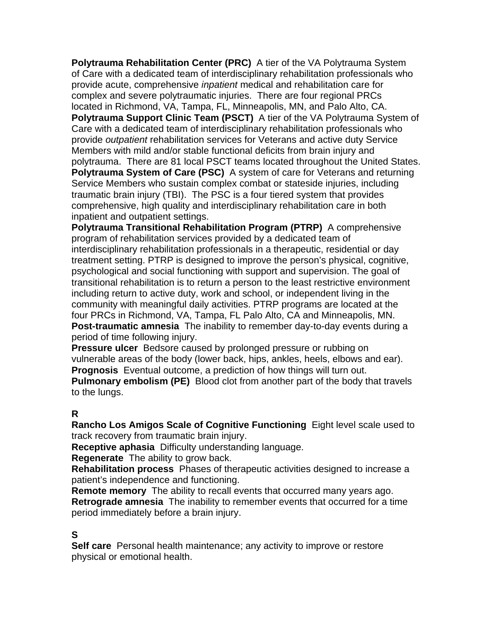**Polytrauma Rehabilitation Center (PRC)** A tier of the VA Polytrauma System of Care with a dedicated team of interdisciplinary rehabilitation professionals who provide acute, comprehensive *inpatient* medical and rehabilitation care for complex and severe polytraumatic injuries. There are four regional PRCs located in Richmond, VA, Tampa, FL, Minneapolis, MN, and Palo Alto, CA. **Polytrauma Support Clinic Team (PSCT)** A tier of the VA Polytrauma System of Care with a dedicated team of interdisciplinary rehabilitation professionals who provide *outpatient* rehabilitation services for Veterans and active duty Service Members with mild and/or stable functional deficits from brain injury and polytrauma. There are 81 local PSCT teams located throughout the United States. **Polytrauma System of Care (PSC)** A system of care for Veterans and returning Service Members who sustain complex combat or stateside injuries, including traumatic brain injury (TBI). The PSC is a four tiered system that provides comprehensive, high quality and interdisciplinary rehabilitation care in both inpatient and outpatient settings.

**Polytrauma Transitional Rehabilitation Program (PTRP)** A comprehensive program of rehabilitation services provided by a dedicated team of interdisciplinary rehabilitation professionals in a therapeutic, residential or day treatment setting. PTRP is designed to improve the person's physical, cognitive, psychological and social functioning with support and supervision. The goal of transitional rehabilitation is to return a person to the least restrictive environment including return to active duty, work and school, or independent living in the community with meaningful daily activities. PTRP programs are located at the four PRCs in Richmond, VA, Tampa, FL Palo Alto, CA and Minneapolis, MN. **Post-traumatic amnesia** The inability to remember day-to-day events during a period of time following injury.

**Pressure ulcer** Bedsore caused by prolonged pressure or rubbing on vulnerable areas of the body (lower back, hips, ankles, heels, elbows and ear). **Prognosis** Eventual outcome, a prediction of how things will turn out.

**Pulmonary embolism (PE)** Blood clot from another part of the body that travels to the lungs.

#### **R**

**Rancho Los Amigos Scale of Cognitive Functioning** Eight level scale used to track recovery from traumatic brain injury.

**Receptive aphasia** Difficulty understanding language.

**Regenerate** The ability to grow back.

**Rehabilitation process** Phases of therapeutic activities designed to increase a patient's independence and functioning.

**Remote memory** The ability to recall events that occurred many years ago. **Retrograde amnesia** The inability to remember events that occurred for a time period immediately before a brain injury.

#### **S**

**Self care** Personal health maintenance; any activity to improve or restore physical or emotional health.